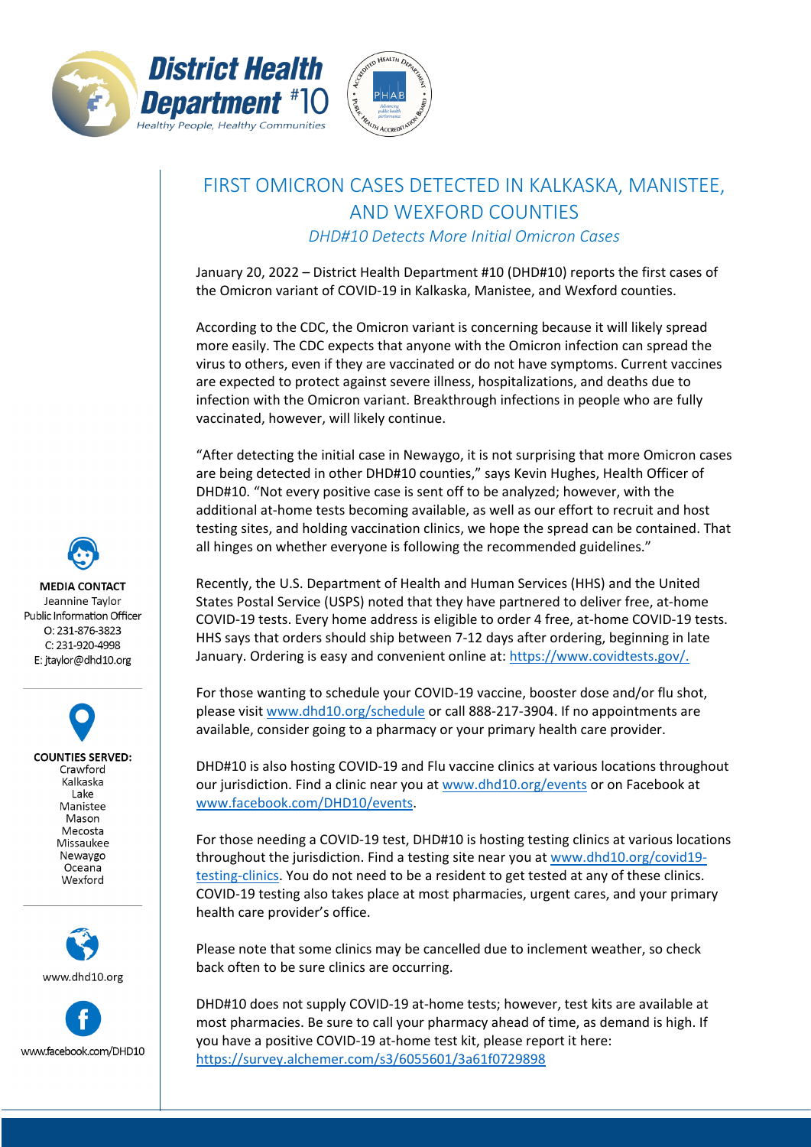



## FIRST OMICRON CASES DETECTED IN KALKASKA, MANISTEE, AND WEXFORD COUNTIES *DHD#10 Detects More Initial Omicron Cases*

January 20, 2022 – District Health Department #10 (DHD#10) reports the first cases of the Omicron variant of COVID-19 in Kalkaska, Manistee, and Wexford counties.

According to the CDC, the Omicron variant is concerning because it will likely spread more easily. The CDC expects that anyone with the Omicron infection can spread the virus to others, even if they are vaccinated or do not have symptoms. Current vaccines are expected to protect against severe illness, hospitalizations, and deaths due to infection with the Omicron variant. Breakthrough infections in people who are fully vaccinated, however, will likely continue.

"After detecting the initial case in Newaygo, it is not surprising that more Omicron cases are being detected in other DHD#10 counties," says Kevin Hughes, Health Officer of DHD#10. "Not every positive case is sent off to be analyzed; however, with the additional at-home tests becoming available, as well as our effort to recruit and host testing sites, and holding vaccination clinics, we hope the spread can be contained. That all hinges on whether everyone is following the recommended guidelines."

Recently, the U.S. Department of Health and Human Services (HHS) and the United States Postal Service (USPS) noted that they have partnered to deliver free, at-home COVID-19 tests. Every home address is eligible to order 4 free, at-home COVID-19 tests. HHS says that orders should ship between 7-12 days after ordering, beginning in late January. Ordering is easy and convenient online at: [https://www.covidtests.gov/.](https://www.covidtests.gov/)

For those wanting to schedule your COVID-19 vaccine, booster dose and/or flu shot, please visit [www.dhd10.org/schedule](http://www.dhd10.org/schedule) or call 888-217-3904. If no appointments are available, consider going to a pharmacy or your primary health care provider.

DHD#10 is also hosting COVID-19 and Flu vaccine clinics at various locations throughout our jurisdiction. Find a clinic near you at [www.dhd10.org/events](http://www.dhd10.org/events) or on Facebook at [www.facebook.com/DHD10/events.](http://www.facebook.com/DHD10/events)

For those needing a COVID-19 test, DHD#10 is hosting testing clinics at various locations throughout the jurisdiction. Find a testing site near you at [www.dhd10.org/covid19](http://www.dhd10.org/covid19-testing-clinics) [testing-clinics.](http://www.dhd10.org/covid19-testing-clinics) You do not need to be a resident to get tested at any of these clinics. COVID-19 testing also takes place at most pharmacies, urgent cares, and your primary health care provider's office.

Please note that some clinics may be cancelled due to inclement weather, so check back often to be sure clinics are occurring.

DHD#10 does not supply COVID-19 at-home tests; however, test kits are available at most pharmacies. Be sure to call your pharmacy ahead of time, as demand is high. If you have a positive COVID-19 at-home test kit, please report it here: <https://survey.alchemer.com/s3/6055601/3a61f0729898>

**MEDIA CONTACT** Jeannine Taylor Public Information Officer O: 231-876-3823 C: 231-920-4998 E: jtaylor@dhd10.org

**COUNTIES SERVED:** Crawford Kalkaska Lake Manistee Mason Mecosta Missaukee Newaygo Oceana Wexford